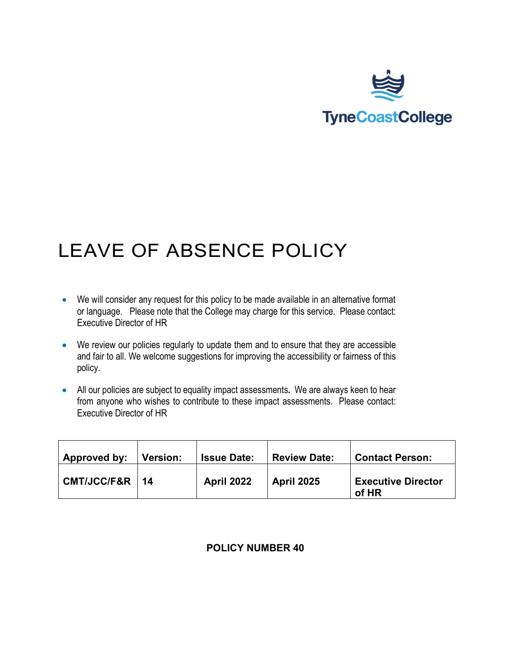

# LEAVE OF ABSENCE POLICY

- We will consider any request for this policy to be made available in an alternative format or language. Please note that the College may charge for this service. Please contact: Executive Director of HR
- We review our policies regularly to update them and to ensure that they are accessible and fair to all. We welcome suggestions for improving the accessibility or fairness of this policy.
- All our policies are subject to equality impact assessments**.** We are always keen to hear from anyone who wishes to contribute to these impact assessments. Please contact: Executive Director of HR

| Approved by:       | <b>Version:</b> | <b>Issue Date:</b> | <b>Review Date:</b> | <b>Contact Person:</b>             |
|--------------------|-----------------|--------------------|---------------------|------------------------------------|
| $CMT/JCC/FAR$   14 |                 | April 2022         | <b>April 2025</b>   | <b>Executive Director</b><br>of HR |

#### **POLICY NUMBER 40**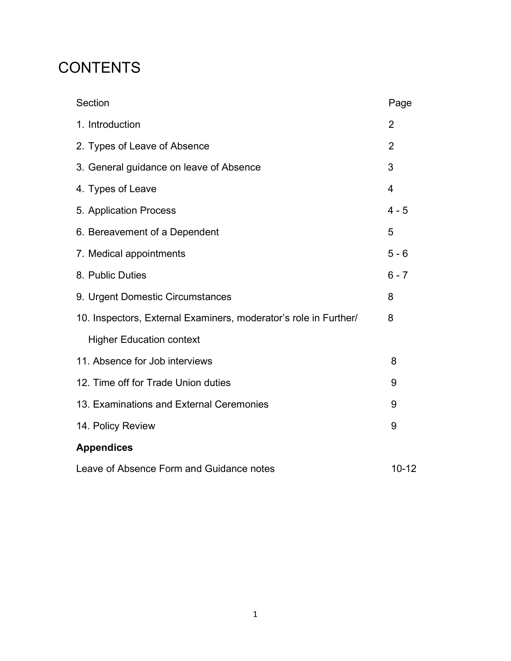### **CONTENTS**

| Section                                                          | Page           |
|------------------------------------------------------------------|----------------|
| 1. Introduction                                                  | $\overline{2}$ |
| 2. Types of Leave of Absence                                     | 2              |
| 3. General guidance on leave of Absence                          | 3              |
| 4. Types of Leave                                                | $\overline{4}$ |
| 5. Application Process                                           | $4 - 5$        |
| 6. Bereavement of a Dependent                                    | 5              |
| 7. Medical appointments                                          | $5 - 6$        |
| 8. Public Duties                                                 | $6 - 7$        |
| 9. Urgent Domestic Circumstances                                 | 8              |
| 10. Inspectors, External Examiners, moderator's role in Further/ | 8              |
| <b>Higher Education context</b>                                  |                |
| 11. Absence for Job interviews                                   | 8              |
| 12. Time off for Trade Union duties                              | 9              |
| 13. Examinations and External Ceremonies                         | 9              |
| 14. Policy Review                                                | 9              |
| <b>Appendices</b>                                                |                |
| Leave of Absence Form and Guidance notes                         | $10 - 12$      |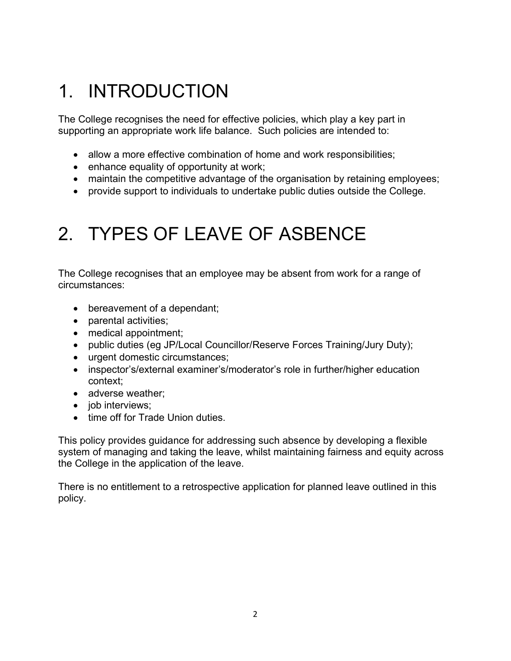# 1. INTRODUCTION

The College recognises the need for effective policies, which play a key part in supporting an appropriate work life balance. Such policies are intended to:

- allow a more effective combination of home and work responsibilities;
- enhance equality of opportunity at work;
- maintain the competitive advantage of the organisation by retaining employees;
- provide support to individuals to undertake public duties outside the College.

### 2. TYPES OF LEAVE OF ASBENCE

The College recognises that an employee may be absent from work for a range of circumstances:

- bereavement of a dependant;
- parental activities;
- medical appointment;
- public duties (eg JP/Local Councillor/Reserve Forces Training/Jury Duty);
- urgent domestic circumstances;
- inspector's/external examiner's/moderator's role in further/higher education context;
- adverse weather;
- job interviews;
- time off for Trade Union duties.

This policy provides guidance for addressing such absence by developing a flexible system of managing and taking the leave, whilst maintaining fairness and equity across the College in the application of the leave.

There is no entitlement to a retrospective application for planned leave outlined in this policy.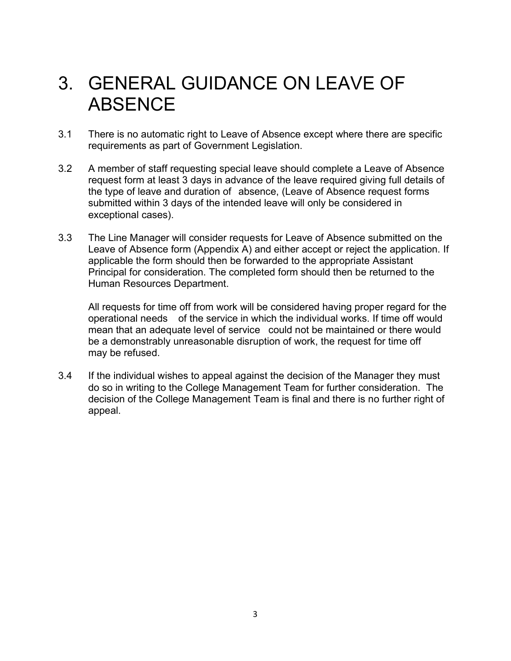### 3. GENERAL GUIDANCE ON LEAVE OF **ABSENCE**

- 3.1 There is no automatic right to Leave of Absence except where there are specific requirements as part of Government Legislation.
- 3.2 A member of staff requesting special leave should complete a Leave of Absence request form at least 3 days in advance of the leave required giving full details of the type of leave and duration of absence, (Leave of Absence request forms submitted within 3 days of the intended leave will only be considered in exceptional cases).
- 3.3 The Line Manager will consider requests for Leave of Absence submitted on the Leave of Absence form (Appendix A) and either accept or reject the application. If applicable the form should then be forwarded to the appropriate Assistant Principal for consideration. The completed form should then be returned to the Human Resources Department.

All requests for time off from work will be considered having proper regard for the operational needs of the service in which the individual works. If time off would mean that an adequate level of service could not be maintained or there would be a demonstrably unreasonable disruption of work, the request for time off may be refused.

3.4 If the individual wishes to appeal against the decision of the Manager they must do so in writing to the College Management Team for further consideration. The decision of the College Management Team is final and there is no further right of appeal.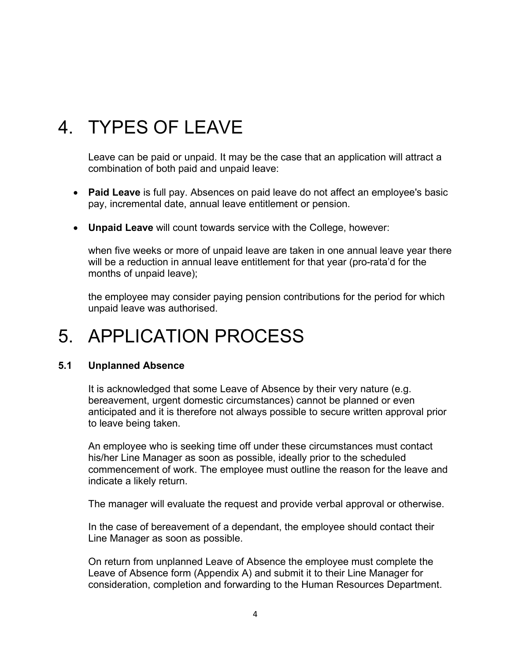### 4. TYPES OF LEAVE

Leave can be paid or unpaid. It may be the case that an application will attract a combination of both paid and unpaid leave:

- **Paid Leave** is full pay. Absences on paid leave do not affect an employee's basic pay, incremental date, annual leave entitlement or pension.
- **Unpaid Leave** will count towards service with the College, however:

when five weeks or more of unpaid leave are taken in one annual leave year there will be a reduction in annual leave entitlement for that year (pro-rata'd for the months of unpaid leave);

the employee may consider paying pension contributions for the period for which unpaid leave was authorised.

### 5. APPLICATION PROCESS

#### **5.1 Unplanned Absence**

It is acknowledged that some Leave of Absence by their very nature (e.g. bereavement, urgent domestic circumstances) cannot be planned or even anticipated and it is therefore not always possible to secure written approval prior to leave being taken.

An employee who is seeking time off under these circumstances must contact his/her Line Manager as soon as possible, ideally prior to the scheduled commencement of work. The employee must outline the reason for the leave and indicate a likely return.

The manager will evaluate the request and provide verbal approval or otherwise.

In the case of bereavement of a dependant, the employee should contact their Line Manager as soon as possible.

On return from unplanned Leave of Absence the employee must complete the Leave of Absence form (Appendix A) and submit it to their Line Manager for consideration, completion and forwarding to the Human Resources Department.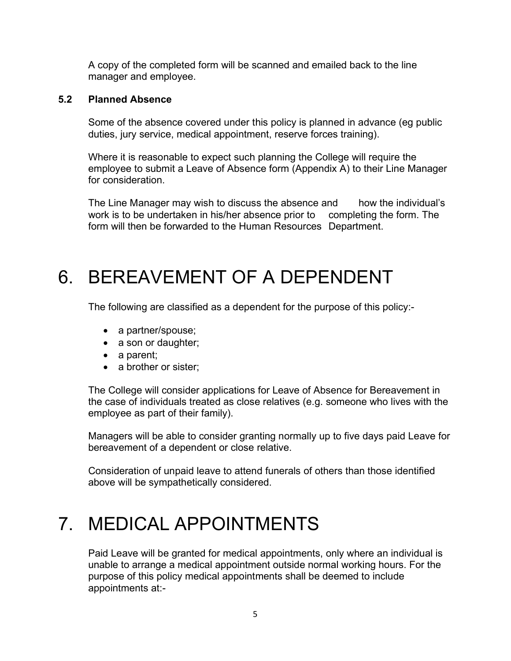A copy of the completed form will be scanned and emailed back to the line manager and employee.

#### **5.2 Planned Absence**

Some of the absence covered under this policy is planned in advance (eg public duties, jury service, medical appointment, reserve forces training).

Where it is reasonable to expect such planning the College will require the employee to submit a Leave of Absence form (Appendix A) to their Line Manager for consideration.

The Line Manager may wish to discuss the absence and how the individual's work is to be undertaken in his/her absence prior to completing the form. The form will then be forwarded to the Human Resources Department.

### 6. BEREAVEMENT OF A DEPENDENT

The following are classified as a dependent for the purpose of this policy:-

- a partner/spouse;
- a son or daughter;
- a parent;
- a brother or sister;

The College will consider applications for Leave of Absence for Bereavement in the case of individuals treated as close relatives (e.g. someone who lives with the employee as part of their family).

Managers will be able to consider granting normally up to five days paid Leave for bereavement of a dependent or close relative.

Consideration of unpaid leave to attend funerals of others than those identified above will be sympathetically considered.

### 7. MEDICAL APPOINTMENTS

Paid Leave will be granted for medical appointments, only where an individual is unable to arrange a medical appointment outside normal working hours. For the purpose of this policy medical appointments shall be deemed to include appointments at:-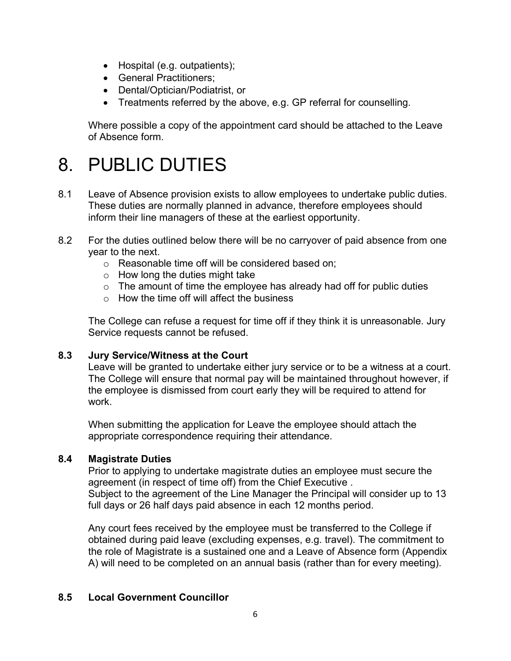- Hospital (e.g. outpatients);
- General Practitioners:
- Dental/Optician/Podiatrist, or
- Treatments referred by the above, e.g. GP referral for counselling.

Where possible a copy of the appointment card should be attached to the Leave of Absence form.

### 8. PUBLIC DUTIES

- 8.1 Leave of Absence provision exists to allow employees to undertake public duties. These duties are normally planned in advance, therefore employees should inform their line managers of these at the earliest opportunity.
- 8.2 For the duties outlined below there will be no carryover of paid absence from one year to the next.
	- o Reasonable time off will be considered based on;
	- $\circ$  How long the duties might take
	- $\circ$  The amount of time the employee has already had off for public duties
	- $\circ$  How the time off will affect the business

The College can refuse a request for time off if they think it is unreasonable. Jury Service requests cannot be refused.

#### **8.3 Jury Service/Witness at the Court**

Leave will be granted to undertake either jury service or to be a witness at a court. The College will ensure that normal pay will be maintained throughout however, if the employee is dismissed from court early they will be required to attend for work.

When submitting the application for Leave the employee should attach the appropriate correspondence requiring their attendance.

#### **8.4 Magistrate Duties**

Prior to applying to undertake magistrate duties an employee must secure the agreement (in respect of time off) from the Chief Executive . Subject to the agreement of the Line Manager the Principal will consider up to 13 full days or 26 half days paid absence in each 12 months period.

Any court fees received by the employee must be transferred to the College if obtained during paid leave (excluding expenses, e.g. travel). The commitment to the role of Magistrate is a sustained one and a Leave of Absence form (Appendix A) will need to be completed on an annual basis (rather than for every meeting).

#### **8.5 Local Government Councillor**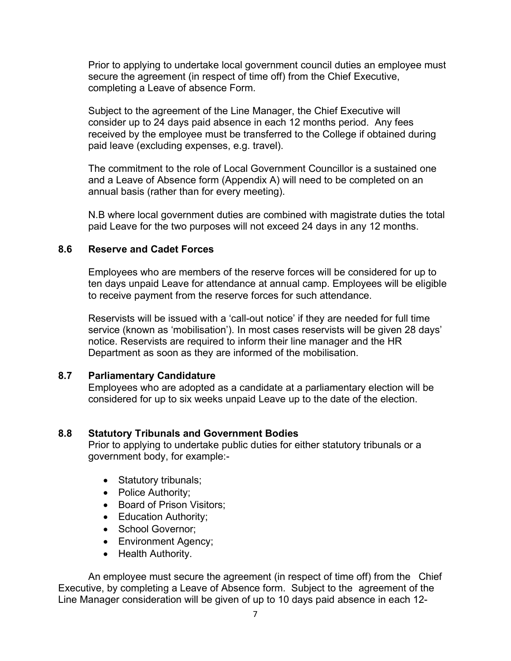Prior to applying to undertake local government council duties an employee must secure the agreement (in respect of time off) from the Chief Executive, completing a Leave of absence Form.

Subject to the agreement of the Line Manager, the Chief Executive will consider up to 24 days paid absence in each 12 months period. Any fees received by the employee must be transferred to the College if obtained during paid leave (excluding expenses, e.g. travel).

The commitment to the role of Local Government Councillor is a sustained one and a Leave of Absence form (Appendix A) will need to be completed on an annual basis (rather than for every meeting).

N.B where local government duties are combined with magistrate duties the total paid Leave for the two purposes will not exceed 24 days in any 12 months.

#### **8.6 Reserve and Cadet Forces**

Employees who are members of the reserve forces will be considered for up to ten days unpaid Leave for attendance at annual camp. Employees will be eligible to receive payment from the reserve forces for such attendance.

Reservists will be issued with a 'call-out notice' if they are needed for full time service (known as 'mobilisation'). In most cases reservists will be given 28 days' notice. Reservists are required to inform their line manager and the HR Department as soon as they are informed of the mobilisation.

#### **8.7 Parliamentary Candidature**

Employees who are adopted as a candidate at a parliamentary election will be considered for up to six weeks unpaid Leave up to the date of the election.

#### **8.8 Statutory Tribunals and Government Bodies**

Prior to applying to undertake public duties for either statutory tribunals or a government body, for example:-

- Statutory tribunals;
- Police Authority;
- Board of Prison Visitors;
- Education Authority;
- School Governor;
- Environment Agency;
- Health Authority.

An employee must secure the agreement (in respect of time off) from the Chief Executive, by completing a Leave of Absence form. Subject to the agreement of the Line Manager consideration will be given of up to 10 days paid absence in each 12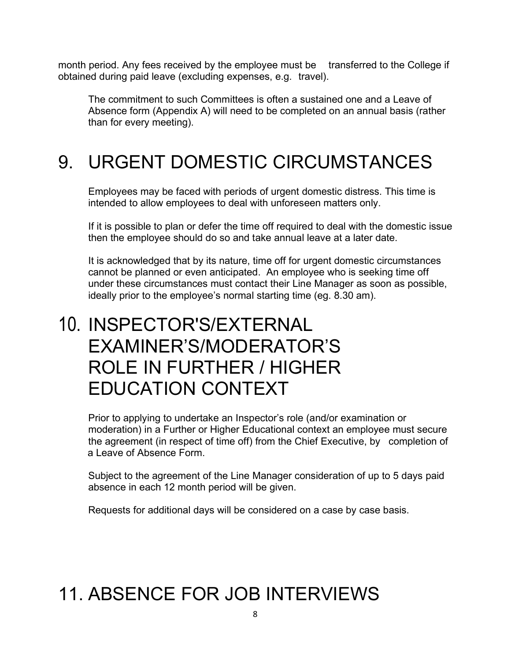month period. Any fees received by the employee must be transferred to the College if obtained during paid leave (excluding expenses, e.g. travel).

The commitment to such Committees is often a sustained one and a Leave of Absence form (Appendix A) will need to be completed on an annual basis (rather than for every meeting).

### 9. URGENT DOMESTIC CIRCUMSTANCES

Employees may be faced with periods of urgent domestic distress. This time is intended to allow employees to deal with unforeseen matters only.

If it is possible to plan or defer the time off required to deal with the domestic issue then the employee should do so and take annual leave at a later date.

It is acknowledged that by its nature, time off for urgent domestic circumstances cannot be planned or even anticipated. An employee who is seeking time off under these circumstances must contact their Line Manager as soon as possible, ideally prior to the employee's normal starting time (eg. 8.30 am).

### 10. INSPECTOR'S/EXTERNAL EXAMINER'S/MODERATOR'S ROLE IN FURTHER / HIGHER EDUCATION CONTEXT

Prior to applying to undertake an Inspector's role (and/or examination or moderation) in a Further or Higher Educational context an employee must secure the agreement (in respect of time off) from the Chief Executive, by completion of a Leave of Absence Form.

Subject to the agreement of the Line Manager consideration of up to 5 days paid absence in each 12 month period will be given.

Requests for additional days will be considered on a case by case basis.

# 11. ABSENCE FOR JOB INTERVIEWS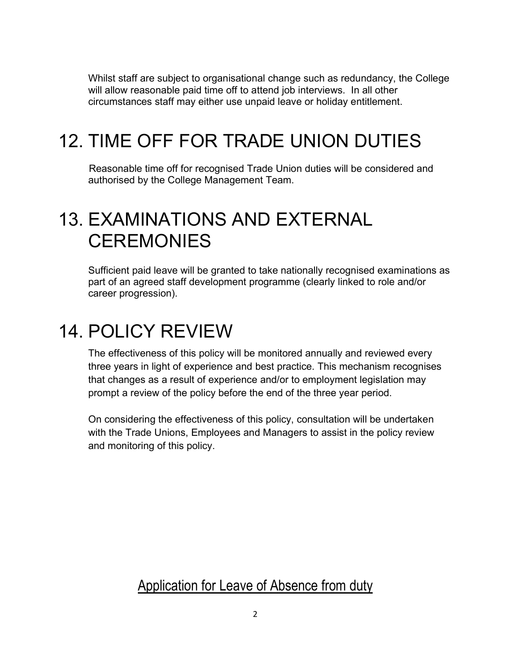Whilst staff are subject to organisational change such as redundancy, the College will allow reasonable paid time off to attend job interviews. In all other circumstances staff may either use unpaid leave or holiday entitlement.

# 12. TIME OFF FOR TRADE UNION DUTIES

Reasonable time off for recognised Trade Union duties will be considered and authorised by the College Management Team.

### 13. EXAMINATIONS AND EXTERNAL **CEREMONIES**

Sufficient paid leave will be granted to take nationally recognised examinations as part of an agreed staff development programme (clearly linked to role and/or career progression).

### 14. POLICY REVIEW

The effectiveness of this policy will be monitored annually and reviewed every three years in light of experience and best practice. This mechanism recognises that changes as a result of experience and/or to employment legislation may prompt a review of the policy before the end of the three year period.

On considering the effectiveness of this policy, consultation will be undertaken with the Trade Unions, Employees and Managers to assist in the policy review and monitoring of this policy.

Application for Leave of Absence from duty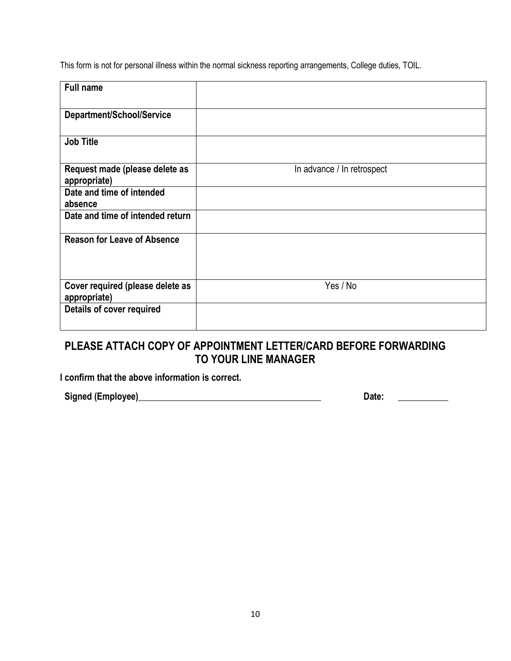This form is not for personal illness within the normal sickness reporting arrangements, College duties, TOIL.

| In advance / In retrospect |
|----------------------------|
|                            |
|                            |
|                            |
|                            |
| Yes / No                   |
|                            |
|                            |

### **PLEASE ATTACH COPY OF APPOINTMENT LETTER/CARD BEFORE FORWARDING TO YOUR LINE MANAGER**

**I confirm that the above information is correct.**

**Signed (Employee)\_\_\_\_\_\_\_\_\_\_\_\_\_\_\_\_\_\_\_\_\_\_\_\_\_\_\_\_\_\_\_\_\_\_\_\_\_\_\_\_ Date:** \_\_\_\_\_\_\_\_**\_\_**\_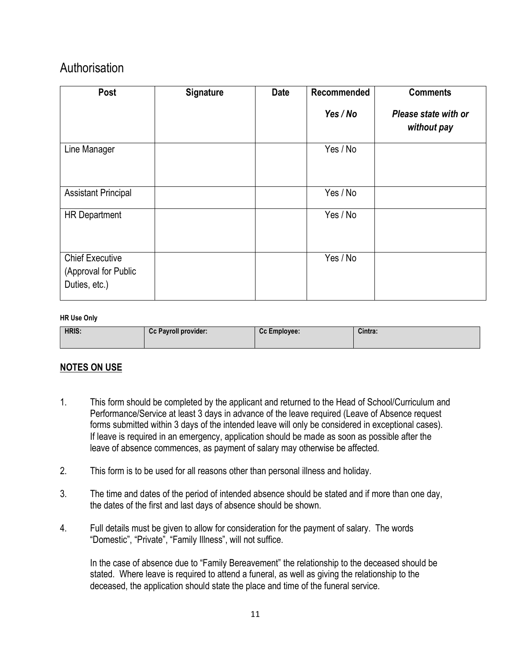### Authorisation

| Post                                                            | <b>Signature</b> | <b>Date</b> | Recommended | <b>Comments</b>                     |
|-----------------------------------------------------------------|------------------|-------------|-------------|-------------------------------------|
|                                                                 |                  |             | Yes / No    | Please state with or<br>without pay |
| Line Manager                                                    |                  |             | Yes / No    |                                     |
| <b>Assistant Principal</b>                                      |                  |             | Yes / No    |                                     |
| <b>HR Department</b>                                            |                  |             | Yes / No    |                                     |
| <b>Chief Executive</b><br>(Approval for Public<br>Duties, etc.) |                  |             | Yes / No    |                                     |

#### **HR Use Only**

| <b>HRIS:</b> | <b>Cc Payroll provider:</b> | Cc Employee: | Cintra: |
|--------------|-----------------------------|--------------|---------|
|              |                             |              |         |

#### **NOTES ON USE**

- 1. This form should be completed by the applicant and returned to the Head of School/Curriculum and Performance/Service at least 3 days in advance of the leave required (Leave of Absence request forms submitted within 3 days of the intended leave will only be considered in exceptional cases). If leave is required in an emergency, application should be made as soon as possible after the leave of absence commences, as payment of salary may otherwise be affected.
- 2. This form is to be used for all reasons other than personal illness and holiday.
- 3. The time and dates of the period of intended absence should be stated and if more than one day, the dates of the first and last days of absence should be shown.
- 4. Full details must be given to allow for consideration for the payment of salary. The words "Domestic", "Private", "Family Illness", will not suffice.

In the case of absence due to "Family Bereavement" the relationship to the deceased should be stated. Where leave is required to attend a funeral, as well as giving the relationship to the deceased, the application should state the place and time of the funeral service.